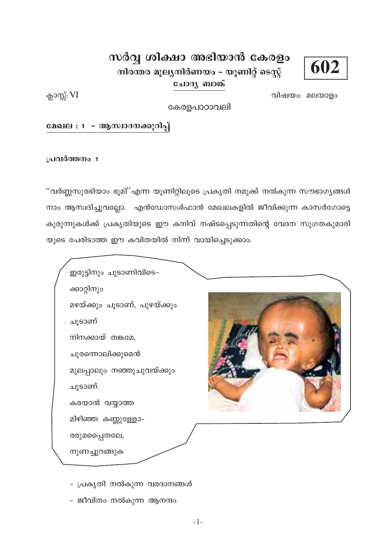

# സർവ്വ ശിക്ഷാ അഭിയാൻ കേരളം

നിരന്തര മൂല്യനിർണയം – യൂണിറ്റ് ടെസ്റ്റ് ചോദ്യ ബാങ്ക്

ക്ലാസ്സ്: VI

വിഷയം: മലയാളം

കേരളപാഠാവലി

മേഖല : 1 – ആസ്വാദനക്കുറിപ്പ്

പ്രവർത്തനം 1

''വർണ്ണസുരഭിയാം ഭൂമി''എന്ന യൂണിറ്റിലൂടെ പ്രകൃതി നമുക്ക് നൽകുന്ന സൗഭാഗ്യങ്ങൾ നാം ആസ്വദിച്ചുവല്ലോ. എൻഡോസൾഫാൻ മേഖലകളിൽ ജീവിക്കുന്ന കാസർഗോട്ടെ കുരുന്നുകൾക്ക് പ്രകൃതിയുടെ ഈ കനിവ് നഷ്ടപ്പെടുന്നതിന്റെ വേദന സുഗതകുമാരി യുടെ പേരിടാത്ത ഈ കവിതയിൽ നിന്ന് വായിച്ചെടുക്കാം.

ഇരുട്ടിനും ചൂടാണിവിടെ– ക്കാറ്റിനും മഴയ്ക്കും ചൂടാണ്, പുഴയ്ക്കും ചൂടാണ് നിനക്കായ് തങ്കമേ, ചുരന്നൊലിക്കുമെൻ മുലപ്പാലും നഞ്ഞുചുവയ്ക്കും ചുടാണ്. കരയാൻ വയ്യാത്ത മിഴിഞ്ഞ കണ്ണുള്ളോ-രരുമപ്പൈതലേ, നുണച്ചുറങ്ങുക

- പ്രകൃതി നൽകുന്ന വരദാനങ്ങൾ
- ജീവിതം നൽകുന്ന ആനന്ദം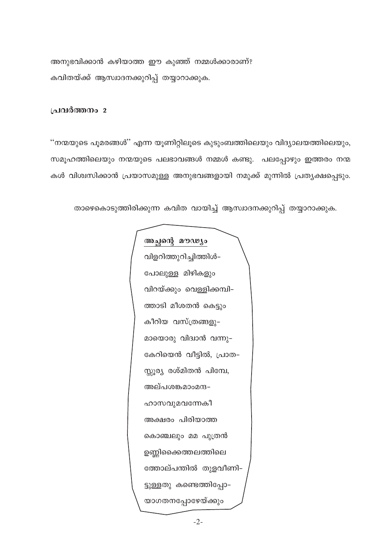അനുഭവിക്കാൻ കഴിയാത്ത ഈ കുഞ്ഞ് നമ്മൾക്കാരാണ്? കവിതയ്ക്ക് ആസ്ഥദനക്കുറിപ്പ് തയ്യാറാക്കുക.

## പ്രവർത്തനം 2

''നന്മയുടെ പൂമരങ്ങൾ'' എന്ന യൂണിറ്റിലൂടെ കുടുംബത്തിലെയും വിദ്യാലയത്തിലെയും, സമൂഹത്തിലെയും നന്മയുടെ പലഭാവങ്ങൾ നമ്മൾ കണ്ടു. പലപ്പോഴും ഇത്തരം നന്മ കൾ വിശ്വസിക്കാൻ പ്രയാസമുള്ള അനുഭവങ്ങളായി നമുക്ക് മുന്നിൽ പ്രത്യക്ഷപ്പെടും.

താഴെകൊടുത്തിരിക്കുന്ന കവിത വായിച്ച് ആസ്ഥദനക്കുറിപ്പ് തയ്യാറാക്കുക.

അച്ഛന്റെ മൗഢ്യം വിളറിത്തുറിച്ചിത്തിൾ-പോലുള്ള മിഴികളും വിറയ്ക്കും വെള്ളിക്കമ്പി-ത്താടി മീശതൻ കെട്ടും കീറിയ വസ്ത്രങ്ങളു– മായൊരു വിദ്വാൻ വന്നു-കേറിയെൻ വീട്ടിൽ, പ്രാത-സ്സൂര്യ രശ്മിതൻ പിമ്പേ, അല്പശങ്കമാംമന്ദ-ഹാസവുമവന്നേകീ അക്ഷരം പിരിയാത്ത കൊഞ്ചലും മമ പുത്രൻ ഉണ്ണിക്കൈത്തലത്തിലെ ത്തോല്പന്തിൽ തുളവീണി-ട്ടുള്ളതു കണ്ടെത്തിപ്പോ-യാഗതനപ്പോഴേയ്ക്കും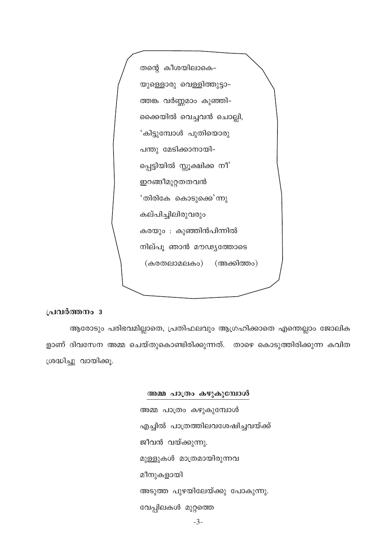```
തന്റെ കീശയിലാകെ–
യുള്ളൊരു വെള്ളിത്തുട്ടാ-
ത്തങ്ക വർണ്ണമാം കുഞ്ഞി-
ക്കൈയിൽ വെച്ചവൻ ചൊല്ലി,
'കിട്ടുമ്പോൾ പുതിയൊരു
പന്തു മേടിക്കാനായി-
പ്പെട്ടിയിൽ സ്സൂക്ഷിക്ക നീ'
ഇറങ്ങീമുറ്റതതവൻ
'തിരികേ കൊടുക്കെ'ന്നു
കല്പിച്ചിലിരുവരും
കരയും : കുഞ്ഞിൻപിന്നിൽ
നില്പൂ ഞാൻ മൗഢ്യത്തോടെ
 (കരതലാമലകം)
                  (അക്കിത്തം)
```
## പ്രവർത്തനം 3

ആരോടും പരിഭവമില്ലാതെ, പ്രതിഫലവും ആഗ്രഹിക്കാതെ എന്തെല്ലാം ജോലിക ളാണ് ദിവസേന അമ്മ ചെയ്തുകൊണ്ടിരിക്കുന്നത്. താഴെ കൊടുത്തിരിക്കുന്ന കവിത ശ്രദ്ധിച്ചു വായിക്കൂ.

## അമ്മ പാത്രം കഴുകുമ്പോൾ

അമ്മ പാത്രം കഴുകുമ്പോൾ എച്ചിൽ പാത്രത്തിലവശേഷിച്ചവയ്ക്ക് ജീവൻ വയ്ക്കുന്നു. മുള്ളുകൾ മാത്രമായിരുന്നവ മീനുകളായി അടുത്ത പുഴയിലേയ്ക്കു പോകുന്നു. വേപ്പിലകൾ മുറ്റത്തെ  $-3-$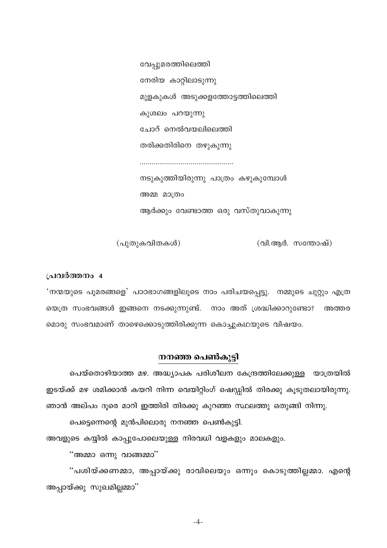വേപ്പുമരത്തിലെത്തി നേരിയ കാറ്റിലാടുന്നു മുളകുകൾ അടുക്കളത്തോട്ടത്തിലെത്തി കുശലം പറയുന്നു ചോറ് നെൽവയലിലെത്തി തരിക്കതിരിനെ തഴുകുന്നു നടുകുത്തിയിരുന്നു പാത്രം കഴുകുമ്പോൾ അമ്മ മാത്രം

ആർക്കും വേണ്ടാത്ത ഒരു വസ്തുവാകുന്നു

(പുതുകവിതകൾ)

 $($ വി.ആർ. സന്തോഷ് $)$ 

#### പ്രവർത്തനം 4

'നന്മയുടെ പുമരങ്ങളെ' പാഠഭാഗങ്ങളിലൂടെ നാം പരിചയപ്പെട്ടു. നമ്മുടെ ചുറ്റും എത്ര യെത്ര സംഭവങ്ങൾ ഇങ്ങനെ നടക്കുന്നുണ്ട്. നാം അത് ശ്രദ്ധിക്കാറുണ്ടോ? അത്തര മൊരു സംഭവമാണ് താഴെക്കൊടുത്തിരിക്കുന്ന കൊച്ചുകഥയുടെ വിഷയം.

#### നനഞ്ഞ പെൺകുട്ടി

പെയ്തൊഴിയാത്ത മഴ. അദ്ധ്യാപക പരിശീലന കേന്ദ്രത്തിലേക്കുള്ള യാത്രയിൽ ഇടയ്ക്ക് മഴ ശമിക്കാൻ കയറി നിന്ന വെയിറ്റിംഗ് ഷെഡ്ഡിൽ തിരക്കു കൂടുതലായിരുന്നു. ഞാൻ അല്പം ദൂരെ മാറി ഇത്തിരി തിരക്കു കുറഞ്ഞ സ്ഥലത്തു ഒതുങ്ങി നിന്നു.

പെട്ടെന്നെന്റെ മുൻപിലൊരു നനഞ്ഞ പെൺകുട്ടി.

അവളുടെ കയ്യിൽ കാപ്പുപോലെയുള്ള നിരവധി വളകളും മാലകളും.

"അമ്മാ ഒന്നു വാങ്ങമ്മാ"

"പശിയ്ക്കണമ്മാ, അപ്പായ്ക്കു രാവിലെയും ഒന്നും കൊടുത്തില്ലമ്മാ. എന്റെ അപ്പായ്ക്കു സുഖമില്ലമ്മാ''

 $-4-$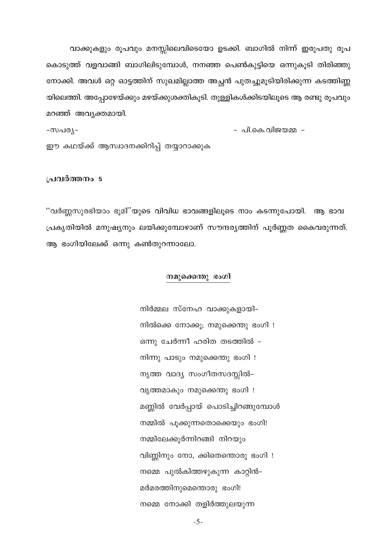വാക്കുകളും രൂപവും മനസ്സിലെവിടെയോ ഉടക്കി. ബാഗിൽ നിന്ന് ഇരുപതു രൂപ കൊടുത്ത് വളവാങ്ങി ബാഗിലിടുമ്പോൾ, നനഞ്ഞ പെൺകുട്ടിയെ ഒന്നുകൂടി തിരിഞ്ഞു നോക്കി. അവൾ ഒറ്റ ഓട്ടത്തിന് സുഖമില്ലാത്ത അച്ഛൻ പുതച്ചുമൂടിയിരിക്കുന്ന കടത്തിണ്ണ യിലെത്തി. അപ്പോഴേയ്ക്കും മഴയ്ക്കുശക്തികൂടി. തുള്ളികൾക്കിടയിലൂടെ ആ രണ്ടു രൂപവും മറഞ്ഞ് അവൃക്തമായി.

- പി.കെ.വിജയമ്മ --സപര്യ-ഈ കഥയ്ക്ക് ആസ്വാദനക്കിറിപ്പ് തയ്യാറാക്കുക

#### പ്രവർത്തനം 5

''വർണ്ണസുരഭിയാം ഭൂമി''യുടെ വിവിധ ഭാവങ്ങളിലൂടെ നാം കടന്നുപോയി. ആ ഭാവ പ്രകൃതിയിൽ മനുഷ്യനും ലയിക്കുമ്പോഴാണ് സൗന്ദര്യത്തിന് പൂർണ്ണത കൈവരുന്നത്. ആ ഭംഗിയിലേക്ക് ഒന്നു കൺതുറന്നാലോ.

#### നമുക്കെന്തു ഭംഗി

നിർമ്മല സ്നേഹ വാക്കുകളായി– നിൽക്കെ നോക്കൂ; നമുക്കെന്തു ഭംഗി ! ഒന്നു ചേർന്നീ ഹരിത തടത്തിൽ – നിന്നു പാടും നമുക്കെന്തു ഭംഗി ! നൃത്ത വാദ്യ സംഗീതസദസ്സിൽ– വൃത്തമാകും നമുക്കെന്തു ഭംഗി ! മണ്ണിൽ വേർപ്പായ് പൊടിച്ചിറങ്ങുമ്പോൾ നമ്മിൽ പൂക്കുന്നതൊക്കെയും ഭംഗി! നമ്മിലേക്കുർന്നിറങ്ങി നിറയും വിണ്ണിനും നോ, ക്കിതെന്തൊരു ഭംഗി ! നമ്മെ പുൽകിത്തഴുകുന്ന കാറ്റിൻ– മർമരത്തിനുമെന്തൊരു ഭംഗി! നമ്മെ നോക്കി തളിർത്തുലയുന്ന

 $-5-$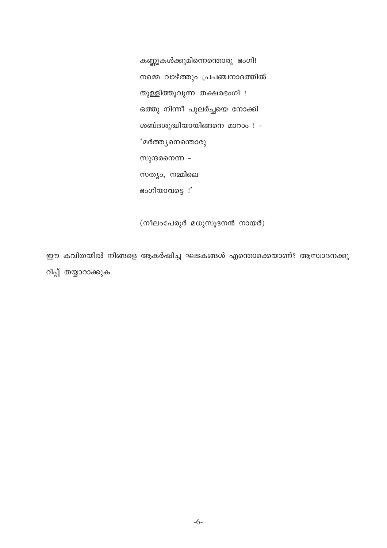കണ്ണുകൾക്കുമിന്നെന്തൊരു ഭംഗി! നമ്മെ വാഴ്ത്തും പ്രപഞ്ചനാദത്തിൽ തുള്ളിത്തൂവുന്ന തക്ഷരഭംഗി ! ഒത്തു നിന്നീ പുലർച്ചയെ നോക്കി ശബ്ദശുദ്ധിയായിങ്ങനെ മാറാം ! -**'മർത്ത്യനെന്തൊരു** സുന്ദരനെന്ന -സത്യം, നമ്മിലെ ഭംഗിയാവട്ടെ !'

(നീലംപേരുർ മധുസൂദനൻ നായർ)

ഈ കവിതയിൽ നിങ്ങളെ ആകർഷിച്ച ഘടകങ്ങൾ എന്തൊക്കെയാണ്? ആസ്വാദനക്കു റിപ്പ് തയ്യാറാക്കുക.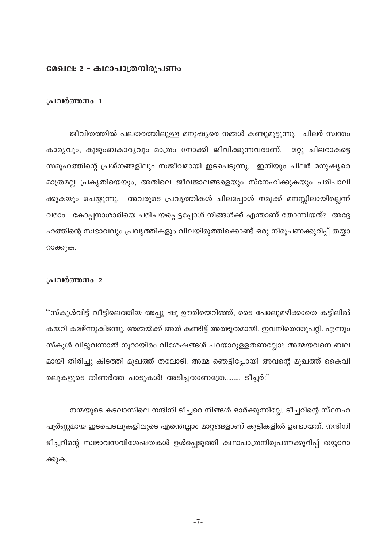## മേഖല: 2 - കഥാപാത്രനിരുപണം

## പ്രവർത്തനം 1

ജീവിതത്തിൽ പലതരത്തിലുള്ള മനുഷ്യരെ നമ്മൾ കണ്ടുമുട്ടുന്നു. ചിലർ സ്വന്തം കാര്യവും, കുടുംബകാര്യവും മാത്രം നോക്കി ജീവിക്കുന്നവരാണ്. മറ്റു ചിലരാകട്ടെ സമൂഹത്തിന്റെ പ്രശ്നങ്ങളിലും സജീവമായി ഇടപെടുന്നു. ഇനിയും ചിലർ മനുഷ്യരെ മാത്രമല്ല പ്രകൃതിയെയും, അതിലെ ജീവജാലങ്ങളെയും സ്നേഹിക്കുകയും പരിപാലി ക്കുകയും ചെയ്യുന്നു. അവരുടെ പ്രവൃത്തികൾ ചിലപ്പോൾ നമുക്ക് മനസ്സിലായില്ലെന്ന് വരാം. കോപ്പനാശാരിയെ പരിചയപ്പെട്ടപ്പോൾ നിങ്ങൾക്ക് എന്താണ് തോന്നിയത്? അദ്ദേ ഹത്തിന്റെ സ്വഭാവവും പ്രവൃത്തികളും വിലയിരുത്തിക്കൊണ്ട് ഒരു നിരൂപണക്കുറിപ്പ് തയ്യാ റാക്കുക.

## പ്രവർത്തനം 2

''സ്കൂൾവിട്ട് വീട്ടിലെത്തിയ അപ്പു ഷൂ ഊരിയെറിഞ്ഞ്, ടൈ പോലുമഴിക്കാതെ കട്ടിലിൽ കയറി കമഴ്ന്നുകിടന്നു. അമ്മയ്ക്ക് അത് കണ്ടിട്ട് അത്ഭുതമായി. ഇവനിതെന്തുപറ്റി. എന്നും സ്കൂൾ വിട്ടുവന്നാൽ നൂറായിരം വിശേഷങ്ങൾ പറയാറുള്ളതണല്ലോ? അമ്മയവനെ ബല മായി തിരിച്ചു കിടത്തി മുഖത്ത് തലോടി. അമ്മ ഞെട്ടിപ്പോയി അവന്റെ മുഖത്ത് കൈവി രലുകളുടെ തിണർത്ത പാടുകൾ! അടിച്ചതാണത്രേ......... ടീച്ചർ!"

നന്മയുടെ കടലാസിലെ നന്ദിനി ടീച്ചറെ നിങ്ങൾ ഓർക്കുന്നില്ലേ. ടീച്ചറിന്റെ സ്നേഹ പൂർണ്ണമായ ഇടപെടലുകളിലൂടെ എന്തെല്ലാം മാറ്റങ്ങളാണ് കുട്ടികളിൽ ഉണ്ടായത്. നന്ദിനി ടീച്ചറിന്റെ സ്വഭാവസവിശേഷതകൾ ഉൾപ്പെടുത്തി കഥാപാത്രനിരൂപണക്കുറിപ്പ് തയ്യാറാ ക്കുക.

 $-7-$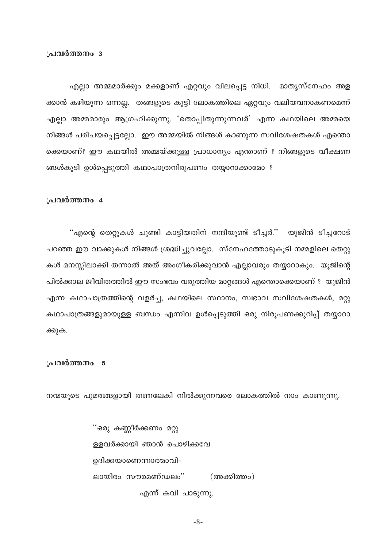എല്ലാ അമ്മമാർക്കും മക്കളാണ് എറ്റവും വിലപ്പെട്ട നിധി. മാതൃസ്നേഹം അള ക്കാൻ കഴിയുന്ന ഒന്നല്ല. തങ്ങളുടെ കുട്ടി ലോകത്തിലെ ഏറ്റവും വലിയവനാകണമെന്ന് എല്ലാ അമ്മമാരും ആഗ്രഹിക്കുന്നു. 'തൊപ്പിതുന്നുന്നവർ' എന്ന കഥയിലെ അമ്മയെ നിങ്ങൾ പരിചയപ്പെട്ടല്ലോ. ഈ അമ്മയിൽ നിങ്ങൾ കാണുന്ന സവിശേഷതകൾ എന്തൊ ക്കെയാണ്? ഈ കഥയിൽ അമ്മയ്ക്കുള്ള പ്രാധാന്യം എന്താണ് ? നിങ്ങളുടെ വീക്ഷണ ങ്ങൾകൂടി ഉൾപ്പെടുത്തി കഥാപാത്രനിരൂപണം തയ്യാറാക്കാമോ ?

#### പ്രവർത്തനം 4

"എന്റെ തെറ്റുകൾ ചൂണ്ടി കാട്ടിയതിന് നന്ദിയുണ്ട് ടീച്ചർ.'' യൂജിൻ ടീച്ചറോട് പറഞ്ഞ ഈ വാക്കുകൾ നിങ്ങൾ ശ്രദ്ധിച്ചുവല്ലോ. സ്നേഹത്തോടുകൂടി നമ്മളിലെ തെറ്റു കൾ മനസ്സിലാക്കി തന്നാൽ അത് അംഗീകരിക്കുവാൻ എല്ലാവരും തയ്യാറാകും. യൂജിന്റെ പിൽക്കാല ജീവിതത്തിൽ ഈ സംഭവം വരുത്തിയ മാറ്റങ്ങൾ എന്തൊക്കെയാണ് ? യുജിൻ എന്ന കഥാപാത്രത്തിന്റെ വളർച്ച, കഥയിലെ സ്ഥാനം, സ്വഭാവ സവിശേഷതകൾ, മറ്റു കഥാപാത്രങ്ങളുമായുള്ള ബന്ധം എന്നിവ ഉൾപ്പെടുത്തി ഒരു നിരൂപണക്കുറിപ്പ് തയ്യാറാ ക്കുക.

#### പ്രവർത്തനം 5

നന്മയുടെ പുമരങ്ങളായി തണലേകി നിൽക്കുന്നവരെ ലോകത്തിൽ നാം കാണുന്നു.

"ഒരു കണ്ണീർക്കണം മറ്റു ള്ളവർക്കായി ഞാൻ പൊഴിക്കവേ ഉദിക്കയാണെന്നാത്മാവി– ലായിരം സൗരമണ്ഡലം'' (അക്കിത്തം) എന്ന് കവി പാടുന്നു.

 $-8-$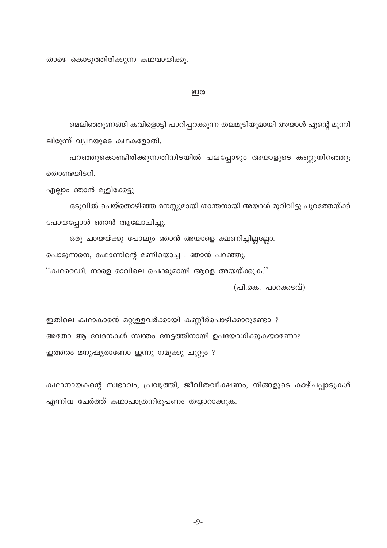താഴെ കൊടുത്തിരിക്കുന്ന കഥവായിക്കു.

## ഇര

മെലിഞ്ഞുണങ്ങി കവിളൊട്ടി പാറിപ്പറക്കുന്ന തലമുടിയുമായി അയാൾ എന്റെ മുന്നി ലിരുന്ന് വ്യഥയുടെ കഥകളോതി.

പറഞ്ഞുകൊണ്ടിരിക്കുന്നതിനിടയിൽ പലപ്പോഴും അയാളുടെ കണ്ണുനിറഞ്ഞു; തൊണ്ടയിടറി.

എല്ലാം ഞാൻ മുളിക്കേട്ടു

ഒടുവിൽ പെയ്തൊഴിഞ്ഞ മനസ്സുമായി ശാന്തനായി അയാൾ മുറിവിട്ടു പുറത്തേയ്ക്ക് പോയപ്പോൾ ഞാൻ ആലോചിച്ചു.

ഒരു ചായയ്ക്കു പോലും ഞാൻ അയാളെ ക്ഷണിച്ചില്ലല്ലോ. പൊടുന്നനെ, ഫോണിന്റെ മണിയൊച്ച . ഞാൻ പറഞ്ഞു. ''കഥറെഡി. നാളെ രാവിലെ ചെക്കുമായി ആളെ അയയ്ക്കുക.''

 $($ പി.കെ. പാറക്കടവ്)

ഇതിലെ കഥാകാരൻ മറ്റുള്ളവർക്കായി കണ്ണീർപൊഴിക്കാറുണ്ടോ ? അതോ ആ വേദനകൾ സ്വന്തം നേട്ടത്തിനായി ഉപയോഗിക്കുകയാണോ? ഇത്തരം മനുഷ്യരാണോ ഇന്നു നമുക്കു ചുറ്റും ?

കഥാനായകന്റെ സ്വഭാവം, പ്രവൃത്തി, ജീവിതവീക്ഷണം, നിങ്ങളുടെ കാഴ്ചപ്പാടുകൾ എന്നിവ ചേർത്ത് കഥാപാത്രനിരൂപണം തയ്യാറാക്കുക.

 $-9-$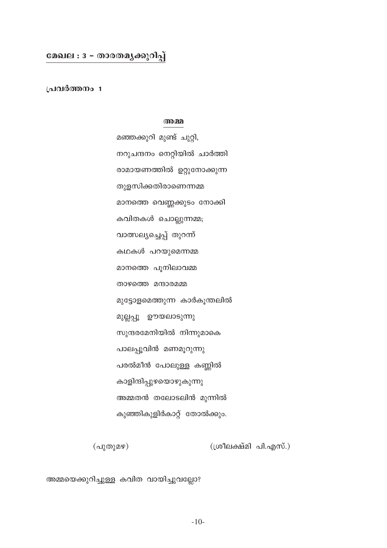## മേഖല : 3 - താരതമൃക്കുറിപ്പ്

പ്രവർത്തനം 1

#### അമ്മ

മഞ്ഞക്കുറി മുണ്ട് ചുറ്റി, നറുചന്ദനം നെറ്റിയിൽ ചാർത്തി രാമായണത്തിൽ ഉറ്റുനോക്കുന്ന തുളസിക്കതിരാണെന്നമ്മ മാനത്തെ വെണ്ണക്കുടം നോക്കി കവിതകൾ ചൊല്ലുന്നമ്മ; വാത്സല്യച്ചെപ്പ് തുറന്ന് കഥകൾ പറയുമെന്നമ്മ മാനത്തെ പുനിലാവമ്മ താഴത്തെ മന്ദാരമമ്മ മുട്ടോളമെത്തുന്ന കാർകൂന്തലിൽ മുല്ലപ്പൂ ഊയലാടുന്നു സുന്ദരമേനിയിൽ നിന്നുമാകെ പാലപ്പൂവിൻ മണമൂറുന്നു പരൽമീൻ പോലുള്ള കണ്ണിൽ കാളിന്ദിപ്പുഴയൊഴുകുന്നു അമ്മതൻ തലോടലിൻ മുന്നിൽ കുഞ്ഞികുളിർകാറ്റ് തോൽക്കും.

(പുതുമഴ) (ശ്രീലക്ഷ്മി പി.എസ്.)

അമ്മയെക്കുറിച്ചുള്ള കവിത വായിച്ചുവല്ലോ?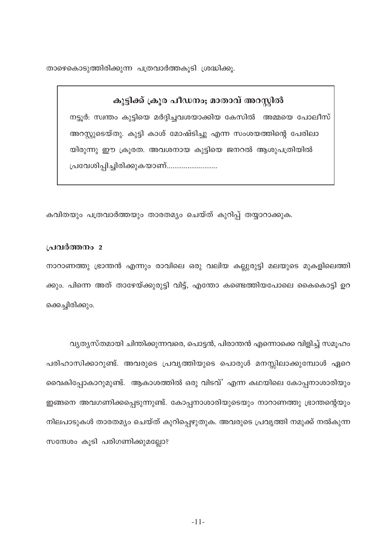താഴെകൊടുത്തിരിക്കുന്ന പത്രവാർത്തകൂടി ശ്രദ്ധിക്കൂ.

കുട്ടിക്ക് ക്രൂര പീഡനം; മാതാവ് അറസ്റ്റിൽ നട്ടൂർ: സ്വന്തം കുട്ടിയെ മർദ്ദിച്ചവശയാക്കിയ കേസിൽ അമ്മയെ പോലീസ് അറസ്റ്റുടെയ്തു. കുട്ടി കാശ് മോഷ്ടിച്ചു എന്ന സംശയത്തിന്റെ പേരിലാ യിരുന്നു ഈ ക്രൂരത. അവശനായ കുട്ടിയെ ജനറൽ ആശുപത്രിയിൽ പ്രവേശിപ്പിച്ചിരിക്കുകയാണ്...........................

കവിതയും പത്രവാർത്തയും താരതമൃം ചെയ്ത് കുറിപ്പ് തയ്യാറാക്കുക.

## പ്രവർത്തനം 2

നാറാണത്തു ഭ്രാന്തൻ എന്നും രാവിലെ ഒരു വലിയ കല്ലുരുട്ടി മലയുടെ മുകളിലെത്തി ക്കും. പിന്നെ അത് താഴേയ്ക്കുരുട്ടി വിട്ട്, എന്തോ കണ്ടെത്തിയപോലെ കൈകൊട്ടി ഉറ ക്കെച്ചിരിക്കും.

വ്യത്യസ്തമായി ചിന്തിക്കുന്നവരെ, പൊട്ടൻ, പിരാന്തൻ എന്നൊക്കെ വിളിച്ച് സമൂഹം പരിഹാസിക്കാറുണ്ട്. അവരുടെ പ്രവൃത്തിയുടെ പൊരുൾ മനസ്സിലാക്കുമ്പോൾ ഏറെ വൈകിപ്പോകാറുമുണ്ട്. ആകാശത്തിൽ ഒരു വിടവ്' എന്ന കഥയിലെ കോപ്പനാശാരിയും ഇങ്ങനെ അവഗണിക്കപ്പെടുന്നുണ്ട്. കോപ്പനാശാരിയുടെയും നാറാണത്തു ഭ്രാന്തന്റെയും നിലപാടുകൾ താരതമ്യം ചെയ്ത് കുറിപ്പെഴുതുക. അവരുടെ പ്രവൃത്തി നമുക്ക് നൽകുന്ന സന്ദേശം കൂടി പരിഗണിക്കുമല്ലോ?

 $-11-$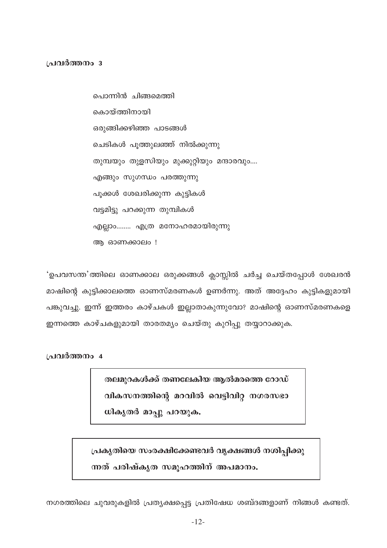## പ്രവർത്തനം 3

പൊന്നിൻ ചിങ്ങമെത്തി കൊയ്ത്തിനായി ഒരുങ്ങിക്കഴിഞ്ഞ പാടങ്ങൾ ചെടികൾ പൂത്തുലഞ്ഞ് നിൽക്കുന്നു തുമ്പയും തുളസിയും മുക്കുറ്റിയും മന്ദാരവും.... എങ്ങും സുഗന്ധം പരത്തുന്നു പുക്കൾ ശേഖരിക്കുന്ന കുട്ടികൾ വട്ടമിട്ടു പറക്കുന്ന തുമ്പികൾ എല്ലാം........ എത്ര മനോഹരമായിരുന്നു അ ഓണക്കാലം !

'ഉപവസന്ത'ത്തിലെ ഓണക്കാല ഒരുക്കങ്ങൾ ക്ലാസ്സിൽ ചർച്ച ചെയ്തപ്പോൾ ശേഖരൻ മാഷിന്റെ കുട്ടിക്കാലത്തെ ഓണസ്മരണകൾ ഉണർന്നു. അത് അദ്ദേഹം കുട്ടികളുമായി പങ്കുവച്ചു. ഇന്ന് ഇത്തരം കാഴ്ചകൾ ഇല്ലാതാകുന്നുവോ? മാഷിന്റെ ഓണസ്മരണകളെ ഇന്നത്തെ കാഴ്ചകളുമായി താരതമ്യം ചെയ്തു കുറിപ്പു തയ്യാറാക്കുക.

പ്രവർത്തനം 4

തലമുറകൾക്ക് തണലേകിയ ആൽമരത്തെ റോഡ് വികസനത്തിന്റെ മറവിൽ വെട്ടിവിറ്റ നഗരസഭാ ധികൃതർ മാപ്പു പറയുക.

പ്രകൃതിയെ സംരക്ഷിക്കേണ്ടവർ വൃക്ഷങ്ങൾ നശിപ്പിക്കു ന്നത് പരിഷ്കൃത സമുഹത്തിന് അപമാനം.

നഗരത്തിലെ ചുവരുകളിൽ പ്രത്യക്ഷപ്പെട്ട പ്രതിഷേധ ശബ്ദങ്ങളാണ് നിങ്ങൾ കണ്ടത്.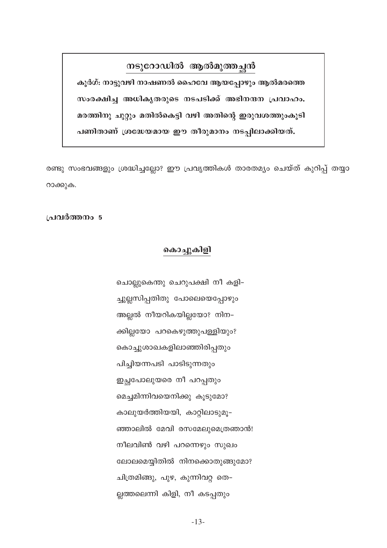# നടുറോഡിൽ ആൽമുത്തച്ഛൻ

കൂർഗ്: നാട്ടുവഴി നാഷണൽ ഹൈവേ ആയപ്പോഴും ആൽമരത്തെ സംരക്ഷിച്ച അധികൃതരുടെ നടപടിക്ക് അഭിനന്ദന പ്രവാഹം. മരത്തിനു ചുറ്റും മതിൽകെട്ടി വഴി അതിന്റെ ഇരുവശത്തുംകൂടി പണിതാണ് ശ്രദ്ധേയമായ ഈ തീരുമാനം നടപ്പിലാക്കിയത്.

രണ്ടു സംഭവങ്ങളും ശ്രദ്ധിച്ചല്ലോ? ഈ പ്രവൃത്തികൾ താരതമ്യം ചെയ്ത് കുറിപ്പ് തയ്യാ റാക്കുക.

## പ്രവർത്തനം 5

## കൊച്ചുകിളി

ചൊല്ലുകെന്തു ചെറുപക്ഷി നീ കളി– ച്ചുല്ലസിപ്പതിതു പോലെയെപ്പോഴും അല്ലൽ നീയറികയില്ലയോ? നിന-ക്കില്ലയോ പറകെഴുത്തുപള്ളിയും? കൊച്ചുശാഖകളിലാഞ്ഞിരിപ്പതും പിച്ചിയന്നപടി പാടിടുന്നതും ഇച്ഛപോലുയരെ നീ പറപ്പതും മെച്ചമിന്നിവയെനിക്കു കൂടുമോ? കാലുയർത്തിയയി, കാറ്റിലാടുമൂ-ഞ്ഞാലിൽ മേവി രസമേലുമെത്രഞാൻ! നീലവിൺ വഴി പറന്നെഴും സുഖം ലോലമെയ്യിതിൽ നിനക്കൊതുങ്ങുമോ? ചിത്രമിങ്ങു, പുഴ, കുന്നിവറ്റ തെ– ല്ലത്തലെന്നി കിളി, നീ കടപ്പതും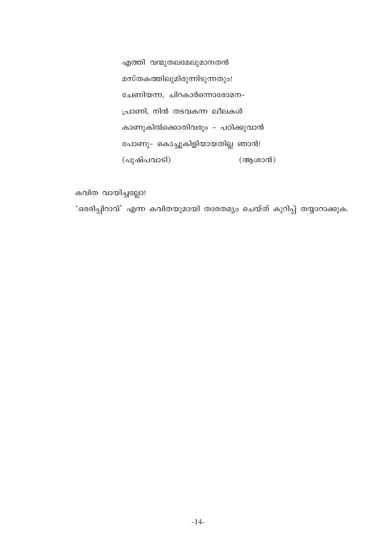എത്തി വന്മുതലമേലുമാനതൻ മസ്തകത്തിലുമിരുന്നിടുന്നതും! ചേണിയന്ന, ചിറകാർന്നൊരോമന– പ്രാണി, നിൻ തടവകന്ന ലീലകൾ കാണുകിൽക്കൊതിവരും - പഠിക്കുവാൻ പോണു– കൊച്ചുകിളിയായതില്ല ഞാൻ! (പുഷ്പവാടി) (ആശാൻ)

കവിത വായിച്ചല്ലോ! 'ഒരരിപ്പിറാവ്' എന്ന കവിതയുമായി താരതമ്യം ചെയ്ത് കുറിപ്പ് തയ്യാറാക്കുക.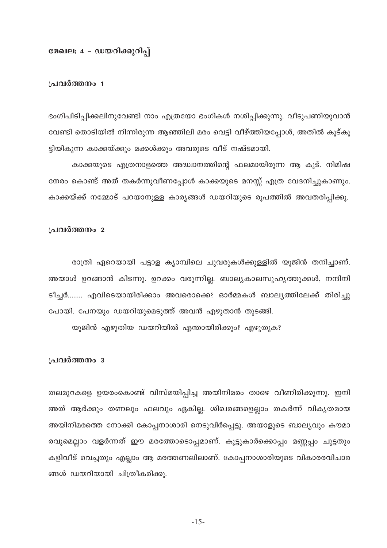## മേഖല: 4 - ഡയറിക്കുറിപ്പ്

## പ്രവർത്തനം 1

ഭംഗിപിടിപ്പിക്കലിനുവേണ്ടി നാം എത്രയോ ഭംഗികൾ നശിപ്പിക്കുന്നു. വീടുപണിയുവാൻ വേണ്ടി തൊടിയിൽ നിന്നിരുന്ന ആഞ്ഞിലി മരം വെട്ടി വീഴ്ത്തിയപ്പോൾ, അതിൽ കൂട്കൂ ട്ടിയികുന്ന കാക്കയ്ക്കും മക്കൾക്കും അവരുടെ വീട് നഷ്ടമായി.

കാക്കയുടെ എത്രനാളത്തെ അദ്ധ്വാനത്തിന്റെ ഫലമായിരുന്ന ആ കൂട്. നിമിഷ നേരം കൊണ്ട് അത് തകർന്നുവീണപ്പോൾ കാക്കയുടെ മനസ്സ് എത്ര വേദനിച്ചുകാണും. കാക്കയ്ക്ക് നമ്മോട് പറയാനുള്ള കാര്യങ്ങൾ ഡയറിയുടെ രൂപത്തിൽ അവതരിപ്പിക്കൂ.

#### പ്രവർത്തനം 2

രാത്രി ഏറെയായി പട്ടാള ക്യാമ്പിലെ ചുവരുകൾക്കുള്ളിൽ യൂജിൻ തനിച്ചാണ്. അയാൾ ഉറങ്ങാൻ കിടന്നു. ഉറക്കം വരുന്നില്ല. ബാല്യകാലസുഹൃത്തുക്കൾ, നന്ദിനി ടീച്ചർ........ എവിടെയായിരിക്കാം അവരൊക്കെ? ഓർമ്മകൾ ബാല്യത്തിലേക്ക് തിരിച്ചു പോയി. പേനയും ഡയറിയുമെടുത്ത് അവൻ എഴുതാൻ തുടങ്ങി.

യുജിൻ എഴുതിയ ഡയറിയിൽ എന്തായിരിക്കും? എഴുതുക?

## പ്രവർത്തനം 3

തലമുറകളെ ഉയരംകൊണ്ട് വിസ്മയിപ്പിച്ച അയിനിമരം താഴെ വീണിരിക്കുന്നു. ഇനി അത് ആർക്കും തണലും ഫലവും ഏകില്ല. ശിഖരങ്ങളെല്ലാം തകർന്ന് വികൃതമായ അയിനിമരത്തെ നോക്കി കോപ്പനാശാരി നെടുവിർപ്പെട്ടു. അയാളുടെ ബാല്യവും കൗമാ രവുമെല്ലാം വളർന്നത് ഈ മരത്തോടൊപ്പമാണ്. കൂട്ടുകാർക്കൊപ്പം മണ്ണപ്പം ചുട്ടതും കളിവീട് വെച്ചതും എല്ലാം ആ മരത്തണലിലാണ്. കോപ്പനാശാരിയുടെ വികാരരവിചാര ങ്ങൾ ഡയറിയായി ചിത്രീകരിക്കു.

 $-15-$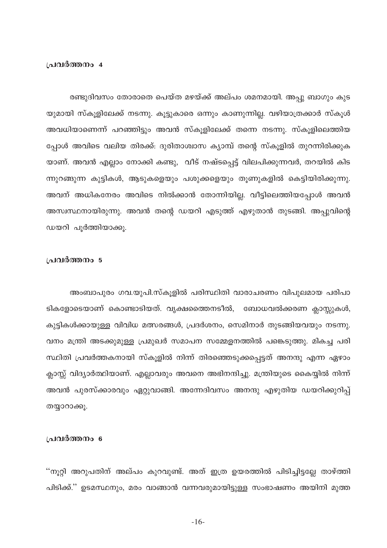#### പ്രവർത്തനം 4

രണ്ടുദിവസം തോരാതെ പെയ്ത മഴയ്ക്ക് അല്പം ശമനമായി. അപ്പു ബാഗും കുട യുമായി സ്കൂളിലേക്ക് നടന്നു. കൂട്ടുകാരെ ഒന്നും കാണുന്നില്ല. വഴിയാത്രക്കാർ സ്കൂൾ അവധിയാണെന്ന് പറഞ്ഞിട്ടും അവൻ സ്കൂളിലേക്ക് തന്നെ നടന്നു. സ്കൂളിലെത്തിയ പ്പോൾ അവിടെ വലിയ തിരക്ക്: ദുരിതാശ്വാസ ക്യാമ്പ് തന്റെ സ്കുളിൽ തുറന്നിരിക്കുക യാണ്. അവൻ എല്ലാം നോക്കി കണ്ടു, വീട് നഷ്ടപ്പെട്ട് വിലപിക്കുന്നവർ, തറയിൽ കിട ന്നുറങ്ങുന്ന കുട്ടികൾ, ആടുകളെയും പശുക്കളെയും തൂണുകളിൽ കെട്ടിയിരിക്കുന്നു. അവന് അധികനേരം അവിടെ നിൽക്കാൻ തോന്നിയില്ല. വീട്ടിലെത്തിയപ്പോൾ അവൻ അസ്വസ്ഥനായിരുന്നു. അവൻ തന്റെ ഡയറി എടുത്ത് എഴുതാൻ തുടങ്ങി. അപ്പുവിന്റെ ഡയറി പൂർത്തിയാക്കു.

## പ്രവർത്തനം 5

അംബാപുരം ഗവ.യുപി.സ്കൂളിൽ പരിസ്ഥിതി വാരാചരണം വിപുലമായ പരിപാ ടികളോടെയാണ് കൊണ്ടാടിയത്. വൃക്ഷത്തൈനടീൽ, ബോധവൽക്കരണ ക്ലാസ്സുകൾ, കുട്ടികൾക്കായുള്ള വിവിധ മത്സരങ്ങൾ, പ്രദർശനം, സെമിനാർ തുടങ്ങിയവയും നടന്നു. വനം മന്ത്രി അടക്കുമുള്ള പ്രമുഖർ സമാപന സമ്മേളനത്തിൽ പങ്കെടുത്തു. മികച്ച പരി സ്ഥിതി പ്രവർത്തകനായി സ്കൂളിൽ നിന്ന് തിരഞ്ഞെടുക്കപ്പെട്ടത് അനന്ദു എന്ന ഏഴാം ക്ലാസ്സ് വിദ്യാർത്ഥിയാണ്. എല്ലാവരും അവനെ അഭിനന്ദിച്ചു. മന്ത്രിയുടെ കൈയ്യിൽ നിന്ന് അവൻ പുരസ്ക്കാരവും ഏറ്റുവാങ്ങി. അന്നേദിവസം അനന്ദു എഴുതിയ ഡയറിക്കുറിപ്പ് തയ്യാറാക്കു.

## പ്രവർത്തനം 6

''നൂറ്റി അറുപതിന് അല്പം കുറവുണ്ട്. അത് ഇത്ര ഉയരത്തിൽ പിടിച്ചിട്ടല്ലേ താഴ്ത്തി പിടിക്ക്.'' ഉടമസ്ഥനും, മരം വാങ്ങാൻ വന്നവരുമായിട്ടുള്ള സംഭാഷണം അയിനി മുത്ത

 $-16-$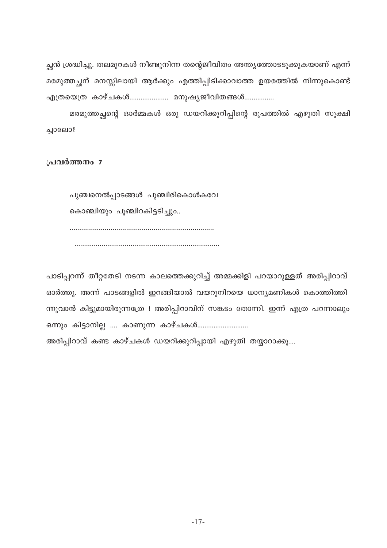ച്ഛൻ ശ്രദ്ധിച്ചു. തലമുറകൾ നീണ്ടുനിന്ന തന്റെജീവിതം അന്ത്യത്തോടടുക്കുകയാണ് എന്ന് മരമുത്തച്ഛന് മനസ്സിലായി ആർക്കും എത്തിപ്പിടിക്കാവാത്ത ഉയരത്തിൽ നിന്നുകൊണ്ട് എത്രയെത്ര കാഴ്ചകൾ..................... മനുഷ്യജീവിതങ്ങൾ................

മരമുത്തച്ഛന്റെ ഓർമ്മകൾ ഒരു ഡയറിക്കുറിപ്പിന്റെ രൂപത്തിൽ എഴുതി സൂക്ഷി ച്ചാലോ?

പ്രവർത്തനം 7

പുഞ്ചനെൽപ്പാടങ്ങൾ പുഞ്ചിരികൊൾകവേ കൊഞ്ചിയും പൂഞ്ചിറകിട്ടടിച്ചും..

പാടിപ്പറന്ന് തീറ്റതേടി നടന്ന കാലത്തെക്കുറിച്ച് അമ്മക്കിളി പറയാറുള്ളത് അരിപ്പിറാവ് ഓർത്തു. അന്ന് പാടങ്ങളിൽ ഇറങ്ങിയാൽ വയറുനിറയെ ധാന്യമണികൾ കൊത്തിത്തി ന്നുവാൻ കിട്ടുമായിരുന്നത്രേ ! അരിപ്പിറാവിന് സങ്കടം തോന്നി. ഇന്ന് എത്ര പറന്നാലും ഒന്നും കിട്ടാനില്ല .... കാണുന്ന കാഴ്ചകൾ.............................

അരിപ്പിറാവ് കണ്ട കാഴ്ചകൾ ഡയറിക്കുറിപ്പായി എഴുതി തയ്യാറാക്കൂ....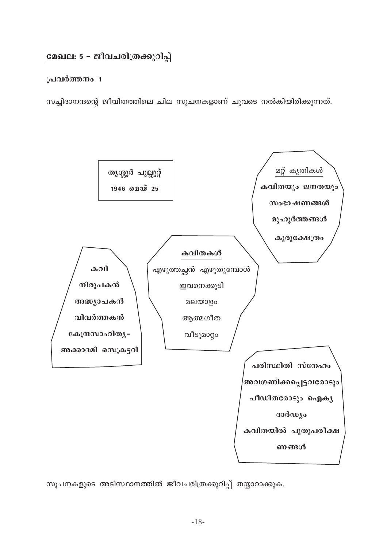# മേഖല: 5 - ജീവചരിത്രക്കുറിപ്പ്

## പ്രവർത്തനം 1

സച്ചിദാനന്ദന്റെ ജീവിതത്തിലെ ചില സൂചനകളാണ് ചുവടെ നൽകിയിരിക്കുന്നത്.



സൂചനകളുടെ അടിസ്ഥാനത്തിൽ ജീവചരിത്രക്കുറിപ്പ് തയ്യാറാക്കുക.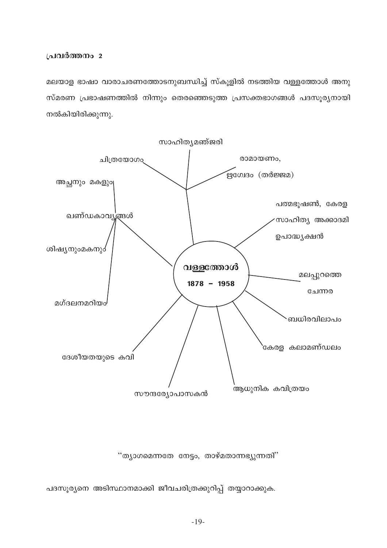മലയാള ഭാഷാ വാരാചരണത്തോടനുബന്ധിച്ച് സ്കൂളിൽ നടത്തിയ വള്ളത്തോൾ അനു സ്മരണ പ്രഭാഷണത്തിൽ നിന്നും തെരഞ്ഞെടുത്ത പ്രസക്തഭാഗങ്ങൾ പദസൂര്യനായി നൽകിയിരിക്കുന്നു.



"ത്യാഗമെന്നതേ നേട്ടം, താഴ്മതാന്നഭ്യുന്നതി"

പദസൂര്യനെ അടിസ്ഥാനമാക്കി ജീവചരിത്രക്കുറിപ്പ് തയ്യാറാക്കുക.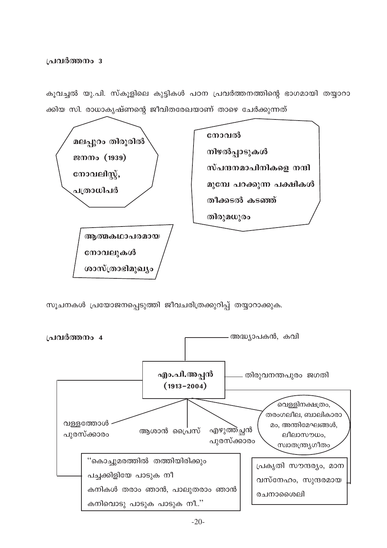കൂവച്ചൽ യു.പി. സ്കൂളിലെ കുട്ടികൾ പഠന പ്രവർത്തനത്തിന്റെ ഭാഗമായി തയ്യാറാ ക്കിയ സി. രാധാകൃഷ്ണന്റെ ജീവിതരേഖയാണ് താഴെ ചേർക്കുന്നത്



സൂചനകൾ പ്രയോജനപ്പെടുത്തി ജീവചരിത്രക്കുറിപ്പ് തയ്യാറാക്കുക.

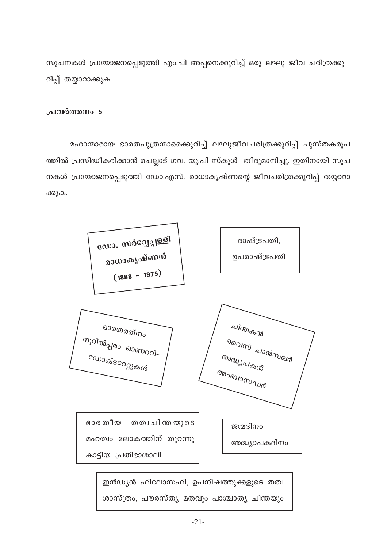സൂചനകൾ പ്രയോജനപ്പെടുത്തി എം.പി അപ്പനെക്കുറിച്ച് ഒരു ലഘു ജീവ ചരിത്രക്കു റിപ്പ് തയ്യാറാക്കുക.

## പ്രവർത്തനം 5

മഹാന്മാരായ ഭാരതപുത്രന്മാരെക്കുറിച്ച് ലഘുജീവചരിത്രക്കുറിപ്പ് പുസ്തകരൂപ ത്തിൽ പ്രസിദ്ധീകരിക്കാൻ ചെല്ലാട് ഗവ. യു.പി സ്കൂൾ തീരുമാനിച്ചു. ഇതിനായി സൂച നകൾ പ്രയോജനപ്പെടുത്തി ഡോ.എസ്. രാധാകൃഷ്ണന്റെ ജീവചരിത്രക്കുറിപ്പ് തയ്യാറാ ക്കുക.



ശാസ്ത്രം, പൗരസ്തൃ മതവും പാശ്ചാതൃ ചിന്തയും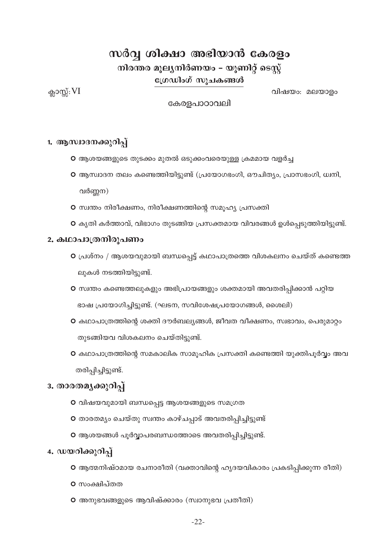# സർവ്വ ശിക്ഷാ അഭിയാൻ കേരളം

നിരന്തര മൂല്യനിർണയം – യൂണിറ്റ് ടെസ്റ്റ്

ഗ്രേഡിംഗ് സൂചകങ്ങൾ

ക്ലാസ്സ്:  $VI$ 

വിഷയം: മലയാളം

കേരളപാഠാവലി

## 1. ആസ്ഥദനക്കുറിപ്പ്

- O ആശയങ്ങളുടെ തുടക്കം മുതൽ ഒടുക്കംവരെയുള്ള ക്രമമായ വളർച്ച
- O ആസ്ഥാദന തലം കണ്ടെത്തിയിട്ടുണ്ട് (പ്രയോഗഭംഗി, ഔചിത്യം, പ്രാസഭംഗി, ധ്വനി, വർണ്ണന)
- O സ്വന്തം നിരീക്ഷണം, നിരീക്ഷണത്തിന്റെ സമൂഹ്യ പ്രസക്തി
- O കൃതി കർത്താവ്, വിഭാഗം തുടങ്ങിയ പ്രസക്തമായ വിവരങ്ങൾ ഉൾപ്പെടുത്തിയിട്ടുണ്ട്.

## 2. കഥാപാത്രനിരുപണം

- O പ്രശ്നം / ആശയവുമായി ബന്ധപ്പെട്ട് കഥാപാത്രത്തെ വിശകലനം ചെയ്ത് കണ്ടെത്ത ലുകൾ നടത്തിയിട്ടുണ്ട്.
- O സ്വന്തം കണ്ടെത്തലുകളും അഭിപ്രായങ്ങളും ശക്തമായി അവതരിപ്പിക്കാൻ പറ്റിയ ഭാഷ പ്രയോഗിച്ചിട്ടുണ്ട്. (ഘടന, സവിശേഷപ്രയോഗങ്ങൾ, ശൈലി)
- O കഥാപാത്രത്തിന്റെ ശക്തി ദൗർബല്യങ്ങൾ, ജീവത വീക്ഷണം, സ്വഭാവം, പെരുമാറ്റം തുടങ്ങിയവ വിശകലനം ചെയ്തിട്ടുണ്ട്.
- O കഥാപാത്രത്തിന്റെ സമകാലിക സാമൂഹിക പ്രസക്തി കണ്ടെത്തി യുക്തിപൂർവ്വം അവ തരിപ്പിച്ചിട്ടുണ്ട്.

## 3. താരതമൃക്കുറിപ്പ്

- O വിഷയവുമായി ബന്ധപ്പെട്ട ആശയങ്ങളുടെ സമഗ്രത
- O താരതമൃം ചെയ്തു സ്വന്തം കാഴ്ചപ്പാട് അവതരിപ്പിച്ചിട്ടുണ്ട്
- O ആശയങ്ങൾ പൂർവ്വാപരബന്ധത്തോടെ അവതരിപ്പിച്ചിട്ടുണ്ട്.

## 4. ഡയറിക്കുറിപ്പ്

- O ആത്മനിഷ്ഠമായ രചനാരീതി (വക്താവിന്റെ ഹൃദയവികാരം പ്രകടിപ്പിക്കുന്ന രീതി)
- o സംക്ഷിപ്തത
- O അനുഭവങ്ങളുടെ ആവിഷ്ക്കാരം (സ്വാനുഭവ പ്രതീതി)